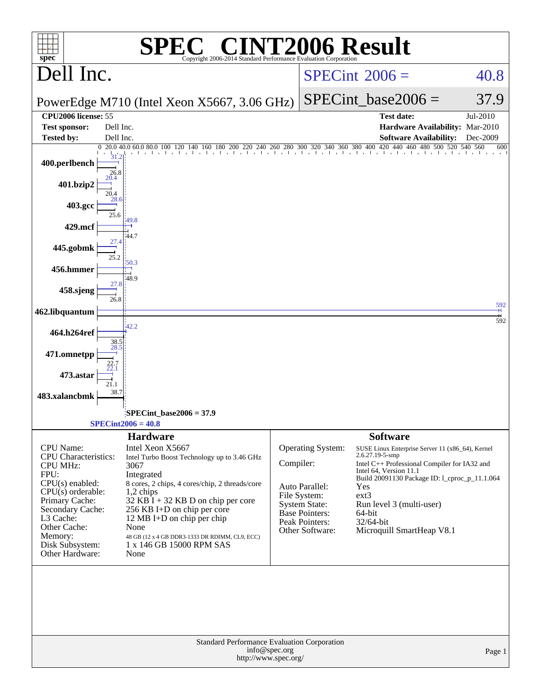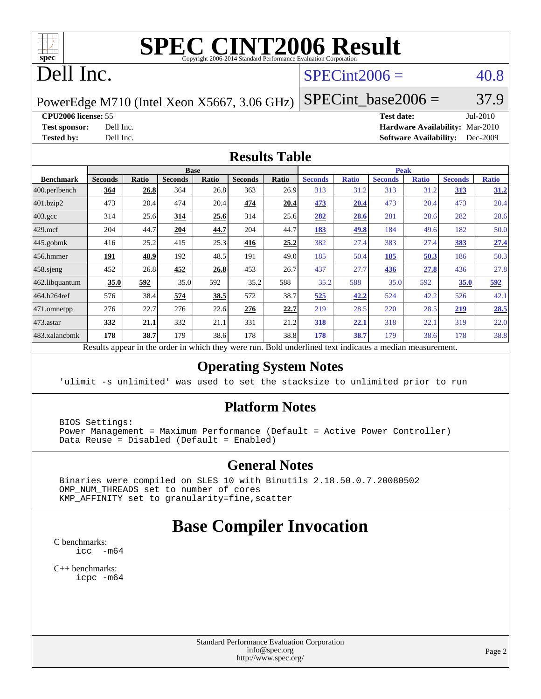

# **[SPEC CINT2006 Result](http://www.spec.org/auto/cpu2006/Docs/result-fields.html#SPECCINT2006Result)**

# Dell Inc.

### $SPECint2006 = 40.8$  $SPECint2006 = 40.8$

PowerEdge M710 (Intel Xeon X5667, 3.06 GHz)

**[CPU2006 license:](http://www.spec.org/auto/cpu2006/Docs/result-fields.html#CPU2006license)** 55 **[Test date:](http://www.spec.org/auto/cpu2006/Docs/result-fields.html#Testdate)** Jul-2010 **[Test sponsor:](http://www.spec.org/auto/cpu2006/Docs/result-fields.html#Testsponsor)** Dell Inc. **[Hardware Availability:](http://www.spec.org/auto/cpu2006/Docs/result-fields.html#HardwareAvailability)** Mar-2010 **[Tested by:](http://www.spec.org/auto/cpu2006/Docs/result-fields.html#Testedby)** Dell Inc. **[Software Availability:](http://www.spec.org/auto/cpu2006/Docs/result-fields.html#SoftwareAvailability)** Dec-2009

 $SPECTnt\_base2006 = 37.9$ 

### **[Results Table](http://www.spec.org/auto/cpu2006/Docs/result-fields.html#ResultsTable)**

|                    |                |              |                | <b>Base</b> |                |              |                |              | <b>Peak</b>    |              |                |              |
|--------------------|----------------|--------------|----------------|-------------|----------------|--------------|----------------|--------------|----------------|--------------|----------------|--------------|
| <b>Benchmark</b>   | <b>Seconds</b> | <b>Ratio</b> | <b>Seconds</b> | Ratio       | <b>Seconds</b> | <b>Ratio</b> | <b>Seconds</b> | <b>Ratio</b> | <b>Seconds</b> | <b>Ratio</b> | <b>Seconds</b> | <b>Ratio</b> |
| 400.perlbench      | 364            | 26.8         | 364            | 26.8        | 363            | 26.9         | 313            | 31.2         | 313            | 31.2         | 313            | 31.2         |
| 401.bzip2          | 473            | 20.4         | 474            | 20.4        | 474            | 20.4         | 473            | 20.4         | 473            | 20.4         | 473            | 20.4         |
| $403.\mathrm{gcc}$ | 314            | 25.6         | 314            | 25.6        | 314            | 25.6         | 282            | 28.6         | 281            | 28.6         | 282            | 28.6         |
| $429$ .mcf         | 204            | 44.7         | 204            | 44.7        | 204            | 44.7         | 183            | <u>49.8</u>  | 184            | 49.6         | 182            | 50.0         |
| $445$ .gobmk       | 416            | 25.2         | 415            | 25.3        | 416            | 25.2         | 382            | 27.4         | 383            | 27.4         | 383            | 27.4         |
| $456.$ hmmer       | 191            | 48.9         | 192            | 48.5        | 191            | 49.0         | 185            | 50.4         | 185            | 50.3         | 186            | 50.3         |
| $458$ .sjeng       | 452            | 26.8         | 452            | 26.8        | 453            | 26.7         | 437            | 27.7         | 436            | 27.8         | 436            | 27.8         |
| 462.libquantum     | 35.0           | 592          | 35.0           | 592         | 35.2           | 588          | 35.2           | 588          | 35.0           | 592          | 35.0           | 592          |
| 464.h264ref        | 576            | 38.4         | 574            | 38.5        | 572            | 38.7         | 525            | 42.2         | 524            | 42.2         | 526            | 42.1         |
| 471.omnetpp        | 276            | 22.7         | 276            | 22.6        | 276            | 22.7         | 219            | 28.5         | 220            | 28.5         | 219            | 28.5         |
| $ 473$ . astar     | 332            | 21.1         | 332            | 21.1        | 331            | 21.2         | 318            | 22.1         | 318            | 22.1         | 319            | 22.0         |
| 483.xalancbmk      | <u> 178</u>    | 38.7         | 179            | 38.6        | 178            | 38.8         | <u>178</u>     | 38.7         | 179            | 38.6         | 178            | 38.8         |

Results appear in the [order in which they were run.](http://www.spec.org/auto/cpu2006/Docs/result-fields.html#RunOrder) Bold underlined text [indicates a median measurement.](http://www.spec.org/auto/cpu2006/Docs/result-fields.html#Median)

### **[Operating System Notes](http://www.spec.org/auto/cpu2006/Docs/result-fields.html#OperatingSystemNotes)**

'ulimit -s unlimited' was used to set the stacksize to unlimited prior to run

### **[Platform Notes](http://www.spec.org/auto/cpu2006/Docs/result-fields.html#PlatformNotes)**

 BIOS Settings: Power Management = Maximum Performance (Default = Active Power Controller) Data Reuse = Disabled (Default = Enabled)

### **[General Notes](http://www.spec.org/auto/cpu2006/Docs/result-fields.html#GeneralNotes)**

 Binaries were compiled on SLES 10 with Binutils 2.18.50.0.7.20080502 OMP\_NUM\_THREADS set to number of cores KMP\_AFFINITY set to granularity=fine,scatter

### **[Base Compiler Invocation](http://www.spec.org/auto/cpu2006/Docs/result-fields.html#BaseCompilerInvocation)**

[C benchmarks](http://www.spec.org/auto/cpu2006/Docs/result-fields.html#Cbenchmarks): [icc -m64](http://www.spec.org/cpu2006/results/res2010q3/cpu2006-20100719-12584.flags.html#user_CCbase_intel_icc_64bit_f346026e86af2a669e726fe758c88044)

[C++ benchmarks:](http://www.spec.org/auto/cpu2006/Docs/result-fields.html#CXXbenchmarks) [icpc -m64](http://www.spec.org/cpu2006/results/res2010q3/cpu2006-20100719-12584.flags.html#user_CXXbase_intel_icpc_64bit_fc66a5337ce925472a5c54ad6a0de310)

> Standard Performance Evaluation Corporation [info@spec.org](mailto:info@spec.org) <http://www.spec.org/>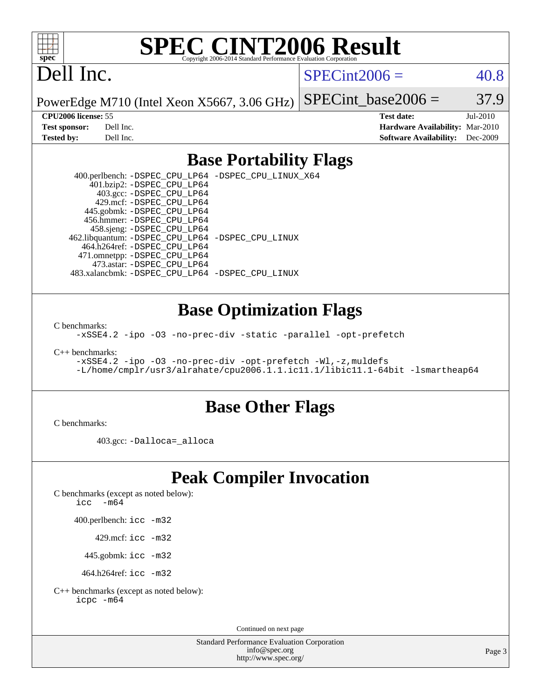

# **[SPEC CINT2006 Result](http://www.spec.org/auto/cpu2006/Docs/result-fields.html#SPECCINT2006Result)**

# Dell Inc.

 $SPECint2006 = 40.8$  $SPECint2006 = 40.8$ 

PowerEdge M710 (Intel Xeon X5667, 3.06 GHz)

SPECint base2006 =  $37.9$ 

**[CPU2006 license:](http://www.spec.org/auto/cpu2006/Docs/result-fields.html#CPU2006license)** 55 **[Test date:](http://www.spec.org/auto/cpu2006/Docs/result-fields.html#Testdate)** Jul-2010 **[Test sponsor:](http://www.spec.org/auto/cpu2006/Docs/result-fields.html#Testsponsor)** Dell Inc. **[Hardware Availability:](http://www.spec.org/auto/cpu2006/Docs/result-fields.html#HardwareAvailability)** Mar-2010 **[Tested by:](http://www.spec.org/auto/cpu2006/Docs/result-fields.html#Testedby)** Dell Inc. **[Software Availability:](http://www.spec.org/auto/cpu2006/Docs/result-fields.html#SoftwareAvailability)** Dec-2009

### **[Base Portability Flags](http://www.spec.org/auto/cpu2006/Docs/result-fields.html#BasePortabilityFlags)**

 400.perlbench: [-DSPEC\\_CPU\\_LP64](http://www.spec.org/cpu2006/results/res2010q3/cpu2006-20100719-12584.flags.html#b400.perlbench_basePORTABILITY_DSPEC_CPU_LP64) [-DSPEC\\_CPU\\_LINUX\\_X64](http://www.spec.org/cpu2006/results/res2010q3/cpu2006-20100719-12584.flags.html#b400.perlbench_baseCPORTABILITY_DSPEC_CPU_LINUX_X64) 401.bzip2: [-DSPEC\\_CPU\\_LP64](http://www.spec.org/cpu2006/results/res2010q3/cpu2006-20100719-12584.flags.html#suite_basePORTABILITY401_bzip2_DSPEC_CPU_LP64) 403.gcc: [-DSPEC\\_CPU\\_LP64](http://www.spec.org/cpu2006/results/res2010q3/cpu2006-20100719-12584.flags.html#suite_basePORTABILITY403_gcc_DSPEC_CPU_LP64) 429.mcf: [-DSPEC\\_CPU\\_LP64](http://www.spec.org/cpu2006/results/res2010q3/cpu2006-20100719-12584.flags.html#suite_basePORTABILITY429_mcf_DSPEC_CPU_LP64) 445.gobmk: [-DSPEC\\_CPU\\_LP64](http://www.spec.org/cpu2006/results/res2010q3/cpu2006-20100719-12584.flags.html#suite_basePORTABILITY445_gobmk_DSPEC_CPU_LP64) 456.hmmer: [-DSPEC\\_CPU\\_LP64](http://www.spec.org/cpu2006/results/res2010q3/cpu2006-20100719-12584.flags.html#suite_basePORTABILITY456_hmmer_DSPEC_CPU_LP64) 458.sjeng: [-DSPEC\\_CPU\\_LP64](http://www.spec.org/cpu2006/results/res2010q3/cpu2006-20100719-12584.flags.html#suite_basePORTABILITY458_sjeng_DSPEC_CPU_LP64) 462.libquantum: [-DSPEC\\_CPU\\_LP64](http://www.spec.org/cpu2006/results/res2010q3/cpu2006-20100719-12584.flags.html#suite_basePORTABILITY462_libquantum_DSPEC_CPU_LP64) [-DSPEC\\_CPU\\_LINUX](http://www.spec.org/cpu2006/results/res2010q3/cpu2006-20100719-12584.flags.html#b462.libquantum_baseCPORTABILITY_DSPEC_CPU_LINUX) 464.h264ref: [-DSPEC\\_CPU\\_LP64](http://www.spec.org/cpu2006/results/res2010q3/cpu2006-20100719-12584.flags.html#suite_basePORTABILITY464_h264ref_DSPEC_CPU_LP64) 471.omnetpp: [-DSPEC\\_CPU\\_LP64](http://www.spec.org/cpu2006/results/res2010q3/cpu2006-20100719-12584.flags.html#suite_basePORTABILITY471_omnetpp_DSPEC_CPU_LP64) 473.astar: [-DSPEC\\_CPU\\_LP64](http://www.spec.org/cpu2006/results/res2010q3/cpu2006-20100719-12584.flags.html#suite_basePORTABILITY473_astar_DSPEC_CPU_LP64) 483.xalancbmk: [-DSPEC\\_CPU\\_LP64](http://www.spec.org/cpu2006/results/res2010q3/cpu2006-20100719-12584.flags.html#suite_basePORTABILITY483_xalancbmk_DSPEC_CPU_LP64) [-DSPEC\\_CPU\\_LINUX](http://www.spec.org/cpu2006/results/res2010q3/cpu2006-20100719-12584.flags.html#b483.xalancbmk_baseCXXPORTABILITY_DSPEC_CPU_LINUX)

### **[Base Optimization Flags](http://www.spec.org/auto/cpu2006/Docs/result-fields.html#BaseOptimizationFlags)**

[C benchmarks](http://www.spec.org/auto/cpu2006/Docs/result-fields.html#Cbenchmarks):

[-xSSE4.2](http://www.spec.org/cpu2006/results/res2010q3/cpu2006-20100719-12584.flags.html#user_CCbase_f-xSSE42_f91528193cf0b216347adb8b939d4107) [-ipo](http://www.spec.org/cpu2006/results/res2010q3/cpu2006-20100719-12584.flags.html#user_CCbase_f-ipo) [-O3](http://www.spec.org/cpu2006/results/res2010q3/cpu2006-20100719-12584.flags.html#user_CCbase_f-O3) [-no-prec-div](http://www.spec.org/cpu2006/results/res2010q3/cpu2006-20100719-12584.flags.html#user_CCbase_f-no-prec-div) [-static](http://www.spec.org/cpu2006/results/res2010q3/cpu2006-20100719-12584.flags.html#user_CCbase_f-static) [-parallel](http://www.spec.org/cpu2006/results/res2010q3/cpu2006-20100719-12584.flags.html#user_CCbase_f-parallel) [-opt-prefetch](http://www.spec.org/cpu2006/results/res2010q3/cpu2006-20100719-12584.flags.html#user_CCbase_f-opt-prefetch)

[C++ benchmarks:](http://www.spec.org/auto/cpu2006/Docs/result-fields.html#CXXbenchmarks)

[-xSSE4.2](http://www.spec.org/cpu2006/results/res2010q3/cpu2006-20100719-12584.flags.html#user_CXXbase_f-xSSE42_f91528193cf0b216347adb8b939d4107) [-ipo](http://www.spec.org/cpu2006/results/res2010q3/cpu2006-20100719-12584.flags.html#user_CXXbase_f-ipo) [-O3](http://www.spec.org/cpu2006/results/res2010q3/cpu2006-20100719-12584.flags.html#user_CXXbase_f-O3) [-no-prec-div](http://www.spec.org/cpu2006/results/res2010q3/cpu2006-20100719-12584.flags.html#user_CXXbase_f-no-prec-div) [-opt-prefetch](http://www.spec.org/cpu2006/results/res2010q3/cpu2006-20100719-12584.flags.html#user_CXXbase_f-opt-prefetch) [-Wl,-z,muldefs](http://www.spec.org/cpu2006/results/res2010q3/cpu2006-20100719-12584.flags.html#user_CXXbase_link_force_multiple1_74079c344b956b9658436fd1b6dd3a8a) [-L/home/cmplr/usr3/alrahate/cpu2006.1.1.ic11.1/libic11.1-64bit -lsmartheap64](http://www.spec.org/cpu2006/results/res2010q3/cpu2006-20100719-12584.flags.html#user_CXXbase_SmartHeap64_e2306cda84805d1ab360117a79ff779c)

### **[Base Other Flags](http://www.spec.org/auto/cpu2006/Docs/result-fields.html#BaseOtherFlags)**

[C benchmarks](http://www.spec.org/auto/cpu2006/Docs/result-fields.html#Cbenchmarks):

403.gcc: [-Dalloca=\\_alloca](http://www.spec.org/cpu2006/results/res2010q3/cpu2006-20100719-12584.flags.html#b403.gcc_baseEXTRA_CFLAGS_Dalloca_be3056838c12de2578596ca5467af7f3)

## **[Peak Compiler Invocation](http://www.spec.org/auto/cpu2006/Docs/result-fields.html#PeakCompilerInvocation)**

[C benchmarks \(except as noted below\)](http://www.spec.org/auto/cpu2006/Docs/result-fields.html#Cbenchmarksexceptasnotedbelow):

[icc -m64](http://www.spec.org/cpu2006/results/res2010q3/cpu2006-20100719-12584.flags.html#user_CCpeak_intel_icc_64bit_f346026e86af2a669e726fe758c88044)

400.perlbench: [icc -m32](http://www.spec.org/cpu2006/results/res2010q3/cpu2006-20100719-12584.flags.html#user_peakCCLD400_perlbench_intel_icc_32bit_a6a621f8d50482236b970c6ac5f55f93)

429.mcf: [icc -m32](http://www.spec.org/cpu2006/results/res2010q3/cpu2006-20100719-12584.flags.html#user_peakCCLD429_mcf_intel_icc_32bit_a6a621f8d50482236b970c6ac5f55f93)

445.gobmk: [icc -m32](http://www.spec.org/cpu2006/results/res2010q3/cpu2006-20100719-12584.flags.html#user_peakCCLD445_gobmk_intel_icc_32bit_a6a621f8d50482236b970c6ac5f55f93)

464.h264ref: [icc -m32](http://www.spec.org/cpu2006/results/res2010q3/cpu2006-20100719-12584.flags.html#user_peakCCLD464_h264ref_intel_icc_32bit_a6a621f8d50482236b970c6ac5f55f93)

[C++ benchmarks \(except as noted below\):](http://www.spec.org/auto/cpu2006/Docs/result-fields.html#CXXbenchmarksexceptasnotedbelow) [icpc -m64](http://www.spec.org/cpu2006/results/res2010q3/cpu2006-20100719-12584.flags.html#user_CXXpeak_intel_icpc_64bit_fc66a5337ce925472a5c54ad6a0de310)

Continued on next page

Standard Performance Evaluation Corporation [info@spec.org](mailto:info@spec.org) <http://www.spec.org/>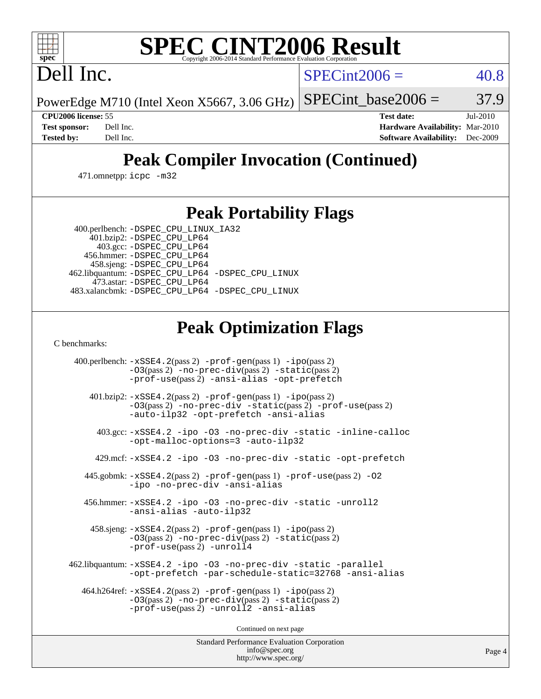# **[SPEC CINT2006 Result](http://www.spec.org/auto/cpu2006/Docs/result-fields.html#SPECCINT2006Result)**

Dell Inc.

 $SPECint2006 = 40.8$  $SPECint2006 = 40.8$ 

PowerEdge M710 (Intel Xeon X5667, 3.06 GHz) SPECint base2006 =  $37.9$ 

**[CPU2006 license:](http://www.spec.org/auto/cpu2006/Docs/result-fields.html#CPU2006license)** 55 **[Test date:](http://www.spec.org/auto/cpu2006/Docs/result-fields.html#Testdate)** Jul-2010 **[Test sponsor:](http://www.spec.org/auto/cpu2006/Docs/result-fields.html#Testsponsor)** Dell Inc. **[Hardware Availability:](http://www.spec.org/auto/cpu2006/Docs/result-fields.html#HardwareAvailability)** Mar-2010 **[Tested by:](http://www.spec.org/auto/cpu2006/Docs/result-fields.html#Testedby)** Dell Inc. **[Software Availability:](http://www.spec.org/auto/cpu2006/Docs/result-fields.html#SoftwareAvailability)** Dec-2009

## **[Peak Compiler Invocation \(Continued\)](http://www.spec.org/auto/cpu2006/Docs/result-fields.html#PeakCompilerInvocation)**

471.omnetpp: [icpc -m32](http://www.spec.org/cpu2006/results/res2010q3/cpu2006-20100719-12584.flags.html#user_peakCXXLD471_omnetpp_intel_icpc_32bit_4e5a5ef1a53fd332b3c49e69c3330699)

### **[Peak Portability Flags](http://www.spec.org/auto/cpu2006/Docs/result-fields.html#PeakPortabilityFlags)**

 400.perlbench: [-DSPEC\\_CPU\\_LINUX\\_IA32](http://www.spec.org/cpu2006/results/res2010q3/cpu2006-20100719-12584.flags.html#b400.perlbench_peakCPORTABILITY_DSPEC_CPU_LINUX_IA32) 401.bzip2: [-DSPEC\\_CPU\\_LP64](http://www.spec.org/cpu2006/results/res2010q3/cpu2006-20100719-12584.flags.html#suite_peakPORTABILITY401_bzip2_DSPEC_CPU_LP64)

 403.gcc: [-DSPEC\\_CPU\\_LP64](http://www.spec.org/cpu2006/results/res2010q3/cpu2006-20100719-12584.flags.html#suite_peakPORTABILITY403_gcc_DSPEC_CPU_LP64) 456.hmmer: [-DSPEC\\_CPU\\_LP64](http://www.spec.org/cpu2006/results/res2010q3/cpu2006-20100719-12584.flags.html#suite_peakPORTABILITY456_hmmer_DSPEC_CPU_LP64) 458.sjeng: [-DSPEC\\_CPU\\_LP64](http://www.spec.org/cpu2006/results/res2010q3/cpu2006-20100719-12584.flags.html#suite_peakPORTABILITY458_sjeng_DSPEC_CPU_LP64) 462.libquantum: [-DSPEC\\_CPU\\_LP64](http://www.spec.org/cpu2006/results/res2010q3/cpu2006-20100719-12584.flags.html#suite_peakPORTABILITY462_libquantum_DSPEC_CPU_LP64) [-DSPEC\\_CPU\\_LINUX](http://www.spec.org/cpu2006/results/res2010q3/cpu2006-20100719-12584.flags.html#b462.libquantum_peakCPORTABILITY_DSPEC_CPU_LINUX) 473.astar: [-DSPEC\\_CPU\\_LP64](http://www.spec.org/cpu2006/results/res2010q3/cpu2006-20100719-12584.flags.html#suite_peakPORTABILITY473_astar_DSPEC_CPU_LP64) 483.xalancbmk: [-DSPEC\\_CPU\\_LP64](http://www.spec.org/cpu2006/results/res2010q3/cpu2006-20100719-12584.flags.html#suite_peakPORTABILITY483_xalancbmk_DSPEC_CPU_LP64) [-DSPEC\\_CPU\\_LINUX](http://www.spec.org/cpu2006/results/res2010q3/cpu2006-20100719-12584.flags.html#b483.xalancbmk_peakCXXPORTABILITY_DSPEC_CPU_LINUX)

## **[Peak Optimization Flags](http://www.spec.org/auto/cpu2006/Docs/result-fields.html#PeakOptimizationFlags)**

[C benchmarks](http://www.spec.org/auto/cpu2006/Docs/result-fields.html#Cbenchmarks):

 400.perlbench: [-xSSE4.2](http://www.spec.org/cpu2006/results/res2010q3/cpu2006-20100719-12584.flags.html#user_peakPASS2_CFLAGSPASS2_LDCFLAGS400_perlbench_f-xSSE42_f91528193cf0b216347adb8b939d4107)(pass 2) [-prof-gen](http://www.spec.org/cpu2006/results/res2010q3/cpu2006-20100719-12584.flags.html#user_peakPASS1_CFLAGSPASS1_LDCFLAGS400_perlbench_prof_gen_e43856698f6ca7b7e442dfd80e94a8fc)(pass 1) [-ipo](http://www.spec.org/cpu2006/results/res2010q3/cpu2006-20100719-12584.flags.html#user_peakPASS2_CFLAGSPASS2_LDCFLAGS400_perlbench_f-ipo)(pass 2) [-O3](http://www.spec.org/cpu2006/results/res2010q3/cpu2006-20100719-12584.flags.html#user_peakPASS2_CFLAGSPASS2_LDCFLAGS400_perlbench_f-O3)(pass 2) [-no-prec-div](http://www.spec.org/cpu2006/results/res2010q3/cpu2006-20100719-12584.flags.html#user_peakPASS2_CFLAGSPASS2_LDCFLAGS400_perlbench_f-no-prec-div)(pass 2) [-static](http://www.spec.org/cpu2006/results/res2010q3/cpu2006-20100719-12584.flags.html#user_peakPASS2_CFLAGSPASS2_LDCFLAGS400_perlbench_f-static)(pass 2) [-prof-use](http://www.spec.org/cpu2006/results/res2010q3/cpu2006-20100719-12584.flags.html#user_peakPASS2_CFLAGSPASS2_LDCFLAGS400_perlbench_prof_use_bccf7792157ff70d64e32fe3e1250b55)(pass 2) [-ansi-alias](http://www.spec.org/cpu2006/results/res2010q3/cpu2006-20100719-12584.flags.html#user_peakCOPTIMIZE400_perlbench_f-ansi-alias) [-opt-prefetch](http://www.spec.org/cpu2006/results/res2010q3/cpu2006-20100719-12584.flags.html#user_peakCOPTIMIZE400_perlbench_f-opt-prefetch) 401.bzip2: [-xSSE4.2](http://www.spec.org/cpu2006/results/res2010q3/cpu2006-20100719-12584.flags.html#user_peakPASS2_CFLAGSPASS2_LDCFLAGS401_bzip2_f-xSSE42_f91528193cf0b216347adb8b939d4107)(pass 2) [-prof-gen](http://www.spec.org/cpu2006/results/res2010q3/cpu2006-20100719-12584.flags.html#user_peakPASS1_CFLAGSPASS1_LDCFLAGS401_bzip2_prof_gen_e43856698f6ca7b7e442dfd80e94a8fc)(pass 1) [-ipo](http://www.spec.org/cpu2006/results/res2010q3/cpu2006-20100719-12584.flags.html#user_peakPASS2_CFLAGSPASS2_LDCFLAGS401_bzip2_f-ipo)(pass 2) [-O3](http://www.spec.org/cpu2006/results/res2010q3/cpu2006-20100719-12584.flags.html#user_peakPASS2_CFLAGSPASS2_LDCFLAGS401_bzip2_f-O3)(pass 2) [-no-prec-div](http://www.spec.org/cpu2006/results/res2010q3/cpu2006-20100719-12584.flags.html#user_peakCOPTIMIZEPASS2_CFLAGSPASS2_LDCFLAGS401_bzip2_f-no-prec-div) [-static](http://www.spec.org/cpu2006/results/res2010q3/cpu2006-20100719-12584.flags.html#user_peakPASS2_CFLAGSPASS2_LDCFLAGS401_bzip2_f-static)(pass 2) [-prof-use](http://www.spec.org/cpu2006/results/res2010q3/cpu2006-20100719-12584.flags.html#user_peakPASS2_CFLAGSPASS2_LDCFLAGS401_bzip2_prof_use_bccf7792157ff70d64e32fe3e1250b55)(pass 2) [-auto-ilp32](http://www.spec.org/cpu2006/results/res2010q3/cpu2006-20100719-12584.flags.html#user_peakCOPTIMIZE401_bzip2_f-auto-ilp32) [-opt-prefetch](http://www.spec.org/cpu2006/results/res2010q3/cpu2006-20100719-12584.flags.html#user_peakCOPTIMIZE401_bzip2_f-opt-prefetch) [-ansi-alias](http://www.spec.org/cpu2006/results/res2010q3/cpu2006-20100719-12584.flags.html#user_peakCOPTIMIZE401_bzip2_f-ansi-alias) 403.gcc: [-xSSE4.2](http://www.spec.org/cpu2006/results/res2010q3/cpu2006-20100719-12584.flags.html#user_peakCOPTIMIZE403_gcc_f-xSSE42_f91528193cf0b216347adb8b939d4107) [-ipo](http://www.spec.org/cpu2006/results/res2010q3/cpu2006-20100719-12584.flags.html#user_peakCOPTIMIZE403_gcc_f-ipo) [-O3](http://www.spec.org/cpu2006/results/res2010q3/cpu2006-20100719-12584.flags.html#user_peakCOPTIMIZE403_gcc_f-O3) [-no-prec-div](http://www.spec.org/cpu2006/results/res2010q3/cpu2006-20100719-12584.flags.html#user_peakCOPTIMIZE403_gcc_f-no-prec-div) [-static](http://www.spec.org/cpu2006/results/res2010q3/cpu2006-20100719-12584.flags.html#user_peakCOPTIMIZE403_gcc_f-static) [-inline-calloc](http://www.spec.org/cpu2006/results/res2010q3/cpu2006-20100719-12584.flags.html#user_peakCOPTIMIZE403_gcc_f-inline-calloc) [-opt-malloc-options=3](http://www.spec.org/cpu2006/results/res2010q3/cpu2006-20100719-12584.flags.html#user_peakCOPTIMIZE403_gcc_f-opt-malloc-options_13ab9b803cf986b4ee62f0a5998c2238) [-auto-ilp32](http://www.spec.org/cpu2006/results/res2010q3/cpu2006-20100719-12584.flags.html#user_peakCOPTIMIZE403_gcc_f-auto-ilp32) 429.mcf: [-xSSE4.2](http://www.spec.org/cpu2006/results/res2010q3/cpu2006-20100719-12584.flags.html#user_peakCOPTIMIZE429_mcf_f-xSSE42_f91528193cf0b216347adb8b939d4107) [-ipo](http://www.spec.org/cpu2006/results/res2010q3/cpu2006-20100719-12584.flags.html#user_peakCOPTIMIZE429_mcf_f-ipo) [-O3](http://www.spec.org/cpu2006/results/res2010q3/cpu2006-20100719-12584.flags.html#user_peakCOPTIMIZE429_mcf_f-O3) [-no-prec-div](http://www.spec.org/cpu2006/results/res2010q3/cpu2006-20100719-12584.flags.html#user_peakCOPTIMIZE429_mcf_f-no-prec-div) [-static](http://www.spec.org/cpu2006/results/res2010q3/cpu2006-20100719-12584.flags.html#user_peakCOPTIMIZE429_mcf_f-static) [-opt-prefetch](http://www.spec.org/cpu2006/results/res2010q3/cpu2006-20100719-12584.flags.html#user_peakCOPTIMIZE429_mcf_f-opt-prefetch) 445.gobmk: [-xSSE4.2](http://www.spec.org/cpu2006/results/res2010q3/cpu2006-20100719-12584.flags.html#user_peakPASS2_CFLAGSPASS2_LDCFLAGS445_gobmk_f-xSSE42_f91528193cf0b216347adb8b939d4107)(pass 2) [-prof-gen](http://www.spec.org/cpu2006/results/res2010q3/cpu2006-20100719-12584.flags.html#user_peakPASS1_CFLAGSPASS1_LDCFLAGS445_gobmk_prof_gen_e43856698f6ca7b7e442dfd80e94a8fc)(pass 1) [-prof-use](http://www.spec.org/cpu2006/results/res2010q3/cpu2006-20100719-12584.flags.html#user_peakPASS2_CFLAGSPASS2_LDCFLAGS445_gobmk_prof_use_bccf7792157ff70d64e32fe3e1250b55)(pass 2) [-O2](http://www.spec.org/cpu2006/results/res2010q3/cpu2006-20100719-12584.flags.html#user_peakCOPTIMIZE445_gobmk_f-O2) [-ipo](http://www.spec.org/cpu2006/results/res2010q3/cpu2006-20100719-12584.flags.html#user_peakCOPTIMIZE445_gobmk_f-ipo) [-no-prec-div](http://www.spec.org/cpu2006/results/res2010q3/cpu2006-20100719-12584.flags.html#user_peakCOPTIMIZE445_gobmk_f-no-prec-div) [-ansi-alias](http://www.spec.org/cpu2006/results/res2010q3/cpu2006-20100719-12584.flags.html#user_peakCOPTIMIZE445_gobmk_f-ansi-alias) 456.hmmer: [-xSSE4.2](http://www.spec.org/cpu2006/results/res2010q3/cpu2006-20100719-12584.flags.html#user_peakCOPTIMIZE456_hmmer_f-xSSE42_f91528193cf0b216347adb8b939d4107) [-ipo](http://www.spec.org/cpu2006/results/res2010q3/cpu2006-20100719-12584.flags.html#user_peakCOPTIMIZE456_hmmer_f-ipo) [-O3](http://www.spec.org/cpu2006/results/res2010q3/cpu2006-20100719-12584.flags.html#user_peakCOPTIMIZE456_hmmer_f-O3) [-no-prec-div](http://www.spec.org/cpu2006/results/res2010q3/cpu2006-20100719-12584.flags.html#user_peakCOPTIMIZE456_hmmer_f-no-prec-div) [-static](http://www.spec.org/cpu2006/results/res2010q3/cpu2006-20100719-12584.flags.html#user_peakCOPTIMIZE456_hmmer_f-static) [-unroll2](http://www.spec.org/cpu2006/results/res2010q3/cpu2006-20100719-12584.flags.html#user_peakCOPTIMIZE456_hmmer_f-unroll_784dae83bebfb236979b41d2422d7ec2) [-ansi-alias](http://www.spec.org/cpu2006/results/res2010q3/cpu2006-20100719-12584.flags.html#user_peakCOPTIMIZE456_hmmer_f-ansi-alias) [-auto-ilp32](http://www.spec.org/cpu2006/results/res2010q3/cpu2006-20100719-12584.flags.html#user_peakCOPTIMIZE456_hmmer_f-auto-ilp32) 458.sjeng: [-xSSE4.2](http://www.spec.org/cpu2006/results/res2010q3/cpu2006-20100719-12584.flags.html#user_peakPASS2_CFLAGSPASS2_LDCFLAGS458_sjeng_f-xSSE42_f91528193cf0b216347adb8b939d4107)(pass 2) [-prof-gen](http://www.spec.org/cpu2006/results/res2010q3/cpu2006-20100719-12584.flags.html#user_peakPASS1_CFLAGSPASS1_LDCFLAGS458_sjeng_prof_gen_e43856698f6ca7b7e442dfd80e94a8fc)(pass 1) [-ipo](http://www.spec.org/cpu2006/results/res2010q3/cpu2006-20100719-12584.flags.html#user_peakPASS2_CFLAGSPASS2_LDCFLAGS458_sjeng_f-ipo)(pass 2) [-O3](http://www.spec.org/cpu2006/results/res2010q3/cpu2006-20100719-12584.flags.html#user_peakPASS2_CFLAGSPASS2_LDCFLAGS458_sjeng_f-O3)(pass 2) [-no-prec-div](http://www.spec.org/cpu2006/results/res2010q3/cpu2006-20100719-12584.flags.html#user_peakPASS2_CFLAGSPASS2_LDCFLAGS458_sjeng_f-no-prec-div)(pass 2) [-static](http://www.spec.org/cpu2006/results/res2010q3/cpu2006-20100719-12584.flags.html#user_peakPASS2_CFLAGSPASS2_LDCFLAGS458_sjeng_f-static)(pass 2) [-prof-use](http://www.spec.org/cpu2006/results/res2010q3/cpu2006-20100719-12584.flags.html#user_peakPASS2_CFLAGSPASS2_LDCFLAGS458_sjeng_prof_use_bccf7792157ff70d64e32fe3e1250b55)(pass 2) [-unroll4](http://www.spec.org/cpu2006/results/res2010q3/cpu2006-20100719-12584.flags.html#user_peakCOPTIMIZE458_sjeng_f-unroll_4e5e4ed65b7fd20bdcd365bec371b81f) 462.libquantum: [-xSSE4.2](http://www.spec.org/cpu2006/results/res2010q3/cpu2006-20100719-12584.flags.html#user_peakCOPTIMIZE462_libquantum_f-xSSE42_f91528193cf0b216347adb8b939d4107) [-ipo](http://www.spec.org/cpu2006/results/res2010q3/cpu2006-20100719-12584.flags.html#user_peakCOPTIMIZE462_libquantum_f-ipo) [-O3](http://www.spec.org/cpu2006/results/res2010q3/cpu2006-20100719-12584.flags.html#user_peakCOPTIMIZE462_libquantum_f-O3) [-no-prec-div](http://www.spec.org/cpu2006/results/res2010q3/cpu2006-20100719-12584.flags.html#user_peakCOPTIMIZE462_libquantum_f-no-prec-div) [-static](http://www.spec.org/cpu2006/results/res2010q3/cpu2006-20100719-12584.flags.html#user_peakCOPTIMIZE462_libquantum_f-static) [-parallel](http://www.spec.org/cpu2006/results/res2010q3/cpu2006-20100719-12584.flags.html#user_peakCOPTIMIZE462_libquantum_f-parallel) [-opt-prefetch](http://www.spec.org/cpu2006/results/res2010q3/cpu2006-20100719-12584.flags.html#user_peakCOPTIMIZE462_libquantum_f-opt-prefetch) [-par-schedule-static=32768](http://www.spec.org/cpu2006/results/res2010q3/cpu2006-20100719-12584.flags.html#user_peakCOPTIMIZE462_libquantum_f-par-schedule_9386bcd99ba64e99ee01d1aafefddd14) [-ansi-alias](http://www.spec.org/cpu2006/results/res2010q3/cpu2006-20100719-12584.flags.html#user_peakCOPTIMIZE462_libquantum_f-ansi-alias) 464.h264ref: [-xSSE4.2](http://www.spec.org/cpu2006/results/res2010q3/cpu2006-20100719-12584.flags.html#user_peakPASS2_CFLAGSPASS2_LDCFLAGS464_h264ref_f-xSSE42_f91528193cf0b216347adb8b939d4107)(pass 2) [-prof-gen](http://www.spec.org/cpu2006/results/res2010q3/cpu2006-20100719-12584.flags.html#user_peakPASS1_CFLAGSPASS1_LDCFLAGS464_h264ref_prof_gen_e43856698f6ca7b7e442dfd80e94a8fc)(pass 1) [-ipo](http://www.spec.org/cpu2006/results/res2010q3/cpu2006-20100719-12584.flags.html#user_peakPASS2_CFLAGSPASS2_LDCFLAGS464_h264ref_f-ipo)(pass 2) [-O3](http://www.spec.org/cpu2006/results/res2010q3/cpu2006-20100719-12584.flags.html#user_peakPASS2_CFLAGSPASS2_LDCFLAGS464_h264ref_f-O3)(pass 2) [-no-prec-div](http://www.spec.org/cpu2006/results/res2010q3/cpu2006-20100719-12584.flags.html#user_peakPASS2_CFLAGSPASS2_LDCFLAGS464_h264ref_f-no-prec-div)(pass 2) [-static](http://www.spec.org/cpu2006/results/res2010q3/cpu2006-20100719-12584.flags.html#user_peakPASS2_CFLAGSPASS2_LDCFLAGS464_h264ref_f-static)(pass 2) [-prof-use](http://www.spec.org/cpu2006/results/res2010q3/cpu2006-20100719-12584.flags.html#user_peakPASS2_CFLAGSPASS2_LDCFLAGS464_h264ref_prof_use_bccf7792157ff70d64e32fe3e1250b55)(pass 2) [-unroll2](http://www.spec.org/cpu2006/results/res2010q3/cpu2006-20100719-12584.flags.html#user_peakCOPTIMIZE464_h264ref_f-unroll_784dae83bebfb236979b41d2422d7ec2) [-ansi-alias](http://www.spec.org/cpu2006/results/res2010q3/cpu2006-20100719-12584.flags.html#user_peakCOPTIMIZE464_h264ref_f-ansi-alias)

Continued on next page

Standard Performance Evaluation Corporation [info@spec.org](mailto:info@spec.org) <http://www.spec.org/>